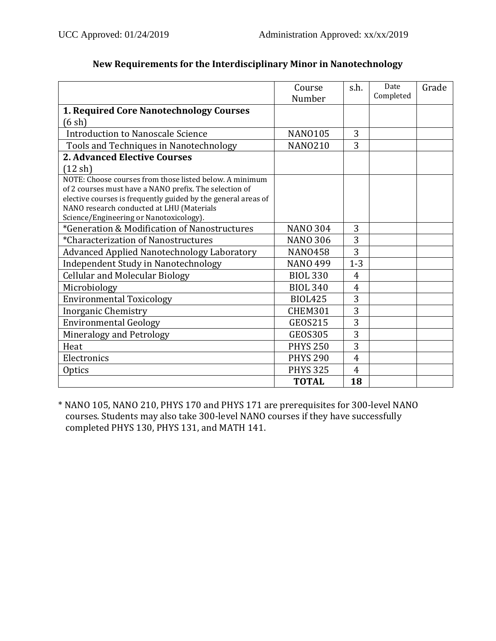|                                                                                      | Course<br>Number | s.h.           | Date<br>Completed | Grade |
|--------------------------------------------------------------------------------------|------------------|----------------|-------------------|-------|
| 1. Required Core Nanotechnology Courses                                              |                  |                |                   |       |
| (6 sh)                                                                               |                  |                |                   |       |
| <b>Introduction to Nanoscale Science</b>                                             | <b>NANO105</b>   | 3              |                   |       |
| Tools and Techniques in Nanotechnology                                               | <b>NANO210</b>   | 3              |                   |       |
| <b>2. Advanced Elective Courses</b>                                                  |                  |                |                   |       |
| $(12 \text{ sh})$                                                                    |                  |                |                   |       |
| NOTE: Choose courses from those listed below. A minimum                              |                  |                |                   |       |
| of 2 courses must have a NANO prefix. The selection of                               |                  |                |                   |       |
| elective courses is frequently guided by the general areas of                        |                  |                |                   |       |
| NANO research conducted at LHU (Materials<br>Science/Engineering or Nanotoxicology). |                  |                |                   |       |
| *Generation & Modification of Nanostructures                                         | <b>NANO 304</b>  | 3              |                   |       |
| *Characterization of Nanostructures                                                  | <b>NANO 306</b>  | 3              |                   |       |
| Advanced Applied Nanotechnology Laboratory                                           | <b>NANO458</b>   | 3              |                   |       |
| <b>Independent Study in Nanotechnology</b>                                           | <b>NANO 499</b>  | $1 - 3$        |                   |       |
| <b>Cellular and Molecular Biology</b>                                                | <b>BIOL 330</b>  | $\overline{4}$ |                   |       |
| Microbiology                                                                         | <b>BIOL 340</b>  | $\overline{4}$ |                   |       |
| <b>Environmental Toxicology</b>                                                      | <b>BIOL425</b>   | 3              |                   |       |
| <b>Inorganic Chemistry</b>                                                           | <b>CHEM301</b>   | 3              |                   |       |
| <b>Environmental Geology</b>                                                         | <b>GEOS215</b>   | 3              |                   |       |
| Mineralogy and Petrology                                                             | <b>GEOS305</b>   | 3              |                   |       |
| Heat                                                                                 | <b>PHYS 250</b>  | 3              |                   |       |
| Electronics                                                                          | <b>PHYS 290</b>  | 4              |                   |       |
| <b>Optics</b>                                                                        | <b>PHYS 325</b>  | $\overline{4}$ |                   |       |
|                                                                                      | <b>TOTAL</b>     | 18             |                   |       |

## **New Requirements for the Interdisciplinary Minor in Nanotechnology**

\* NANO 105, NANO 210, PHYS 170 and PHYS 171 are prerequisites for 300-level NANO courses. Students may also take 300-level NANO courses if they have successfully completed PHYS 130, PHYS 131, and MATH 141.